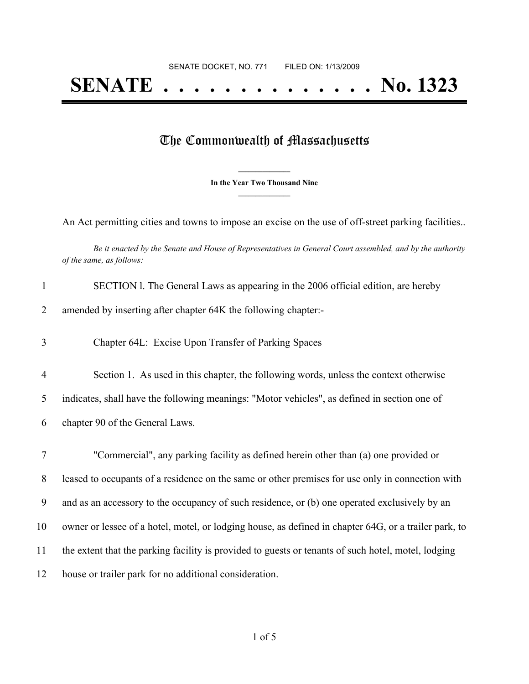## The Commonwealth of Massachusetts

**\_\_\_\_\_\_\_\_\_\_\_\_\_\_\_ In the Year Two Thousand Nine \_\_\_\_\_\_\_\_\_\_\_\_\_\_\_**

An Act permitting cities and towns to impose an excise on the use of off-street parking facilities..

Be it enacted by the Senate and House of Representatives in General Court assembled, and by the authority *of the same, as follows:*

| $\mathbf{1}$   | SECTION 1. The General Laws as appearing in the 2006 official edition, are hereby                     |
|----------------|-------------------------------------------------------------------------------------------------------|
| 2              | amended by inserting after chapter 64K the following chapter:-                                        |
| 3              | Chapter 64L: Excise Upon Transfer of Parking Spaces                                                   |
| $\overline{4}$ | Section 1. As used in this chapter, the following words, unless the context otherwise                 |
| 5              | indicates, shall have the following meanings: "Motor vehicles", as defined in section one of          |
| 6              | chapter 90 of the General Laws.                                                                       |
|                |                                                                                                       |
| $\tau$         | "Commercial", any parking facility as defined herein other than (a) one provided or                   |
| 8              | leased to occupants of a residence on the same or other premises for use only in connection with      |
| 9              | and as an accessory to the occupancy of such residence, or (b) one operated exclusively by an         |
| 10             | owner or lessee of a hotel, motel, or lodging house, as defined in chapter 64G, or a trailer park, to |
| 11             | the extent that the parking facility is provided to guests or tenants of such hotel, motel, lodging   |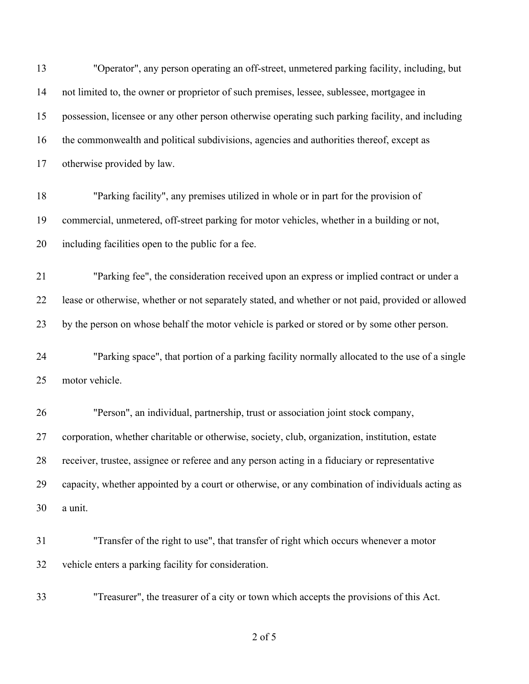| 13 | "Operator", any person operating an off-street, unmetered parking facility, including, but         |
|----|----------------------------------------------------------------------------------------------------|
| 14 | not limited to, the owner or proprietor of such premises, lessee, sublessee, mortgagee in          |
| 15 | possession, licensee or any other person otherwise operating such parking facility, and including  |
| 16 | the commonwealth and political subdivisions, agencies and authorities thereof, except as           |
| 17 | otherwise provided by law.                                                                         |
| 18 | "Parking facility", any premises utilized in whole or in part for the provision of                 |
| 19 | commercial, unmetered, off-street parking for motor vehicles, whether in a building or not,        |
| 20 | including facilities open to the public for a fee.                                                 |
| 21 | "Parking fee", the consideration received upon an express or implied contract or under a           |
| 22 | lease or otherwise, whether or not separately stated, and whether or not paid, provided or allowed |
| 23 | by the person on whose behalf the motor vehicle is parked or stored or by some other person.       |
| 24 | "Parking space", that portion of a parking facility normally allocated to the use of a single      |
| 25 | motor vehicle.                                                                                     |
| 26 | "Person", an individual, partnership, trust or association joint stock company,                    |
| 27 | corporation, whether charitable or otherwise, society, club, organization, institution, estate     |
| 28 | receiver, trustee, assignee or referee and any person acting in a fiduciary or representative      |
| 29 | capacity, whether appointed by a court or otherwise, or any combination of individuals acting as   |
| 30 | a unit.                                                                                            |
| 31 | "Transfer of the right to use", that transfer of right which occurs whenever a motor               |
| 32 | vehicle enters a parking facility for consideration.                                               |
| 33 | "Treasurer", the treasurer of a city or town which accepts the provisions of this Act.             |

of 5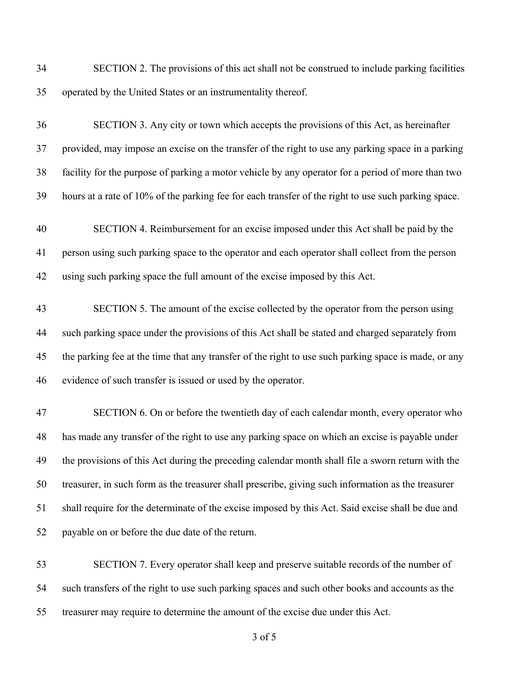SECTION 2. The provisions of this act shall not be construed to include parking facilities operated by the United States or an instrumentality thereof.

 SECTION 3. Any city or town which accepts the provisions of this Act, as hereinafter provided, may impose an excise on the transfer of the right to use any parking space in a parking facility for the purpose of parking a motor vehicle by any operator for a period of more than two hours at a rate of 10% of the parking fee for each transfer of the right to use such parking space. SECTION 4. Reimbursement for an excise imposed under this Act shall be paid by the person using such parking space to the operator and each operator shall collect from the person using such parking space the full amount of the excise imposed by this Act. SECTION 5. The amount of the excise collected by the operator from the person using such parking space under the provisions of this Act shall be stated and charged separately from the parking fee at the time that any transfer of the right to use such parking space is made, or any evidence of such transfer is issued or used by the operator. SECTION 6. On or before the twentieth day of each calendar month, every operator who has made any transfer of the right to use any parking space on which an excise is payable under the provisions of this Act during the preceding calendar month shall file a sworn return with the treasurer, in such form as the treasurer shall prescribe, giving such information as the treasurer shall require for the determinate of the excise imposed by this Act. Said excise shall be due and payable on or before the due date of the return.

 SECTION 7. Every operator shall keep and preserve suitable records of the number of such transfers of the right to use such parking spaces and such other books and accounts as the treasurer may require to determine the amount of the excise due under this Act.

of 5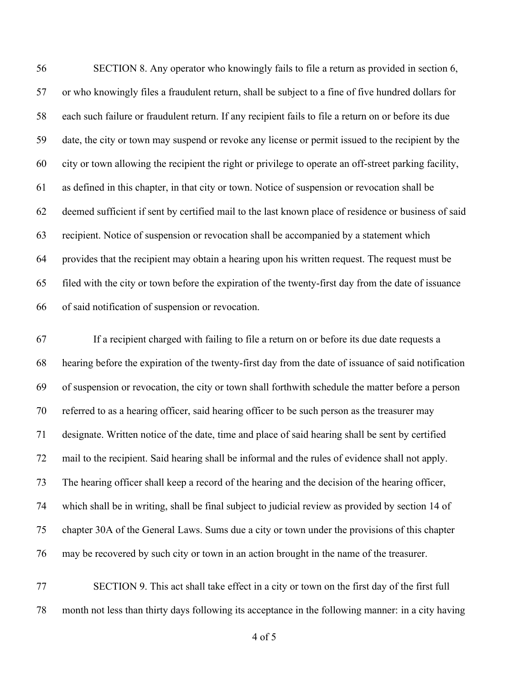SECTION 8. Any operator who knowingly fails to file a return as provided in section 6, or who knowingly files a fraudulent return, shall be subject to a fine of five hundred dollars for each such failure or fraudulent return. If any recipient fails to file a return on or before its due date, the city or town may suspend or revoke any license or permit issued to the recipient by the city or town allowing the recipient the right or privilege to operate an off-street parking facility, as defined in this chapter, in that city or town. Notice of suspension or revocation shall be deemed sufficient if sent by certified mail to the last known place of residence or business of said recipient. Notice of suspension or revocation shall be accompanied by a statement which provides that the recipient may obtain a hearing upon his written request. The request must be filed with the city or town before the expiration of the twenty-first day from the date of issuance of said notification of suspension or revocation.

 If a recipient charged with failing to file a return on or before its due date requests a hearing before the expiration of the twenty-first day from the date of issuance of said notification of suspension or revocation, the city or town shall forthwith schedule the matter before a person referred to as a hearing officer, said hearing officer to be such person as the treasurer may designate. Written notice of the date, time and place of said hearing shall be sent by certified mail to the recipient. Said hearing shall be informal and the rules of evidence shall not apply. The hearing officer shall keep a record of the hearing and the decision of the hearing officer, which shall be in writing, shall be final subject to judicial review as provided by section 14 of chapter 30A of the General Laws. Sums due a city or town under the provisions of this chapter may be recovered by such city or town in an action brought in the name of the treasurer.

 SECTION 9. This act shall take effect in a city or town on the first day of the first full month not less than thirty days following its acceptance in the following manner: in a city having

of 5